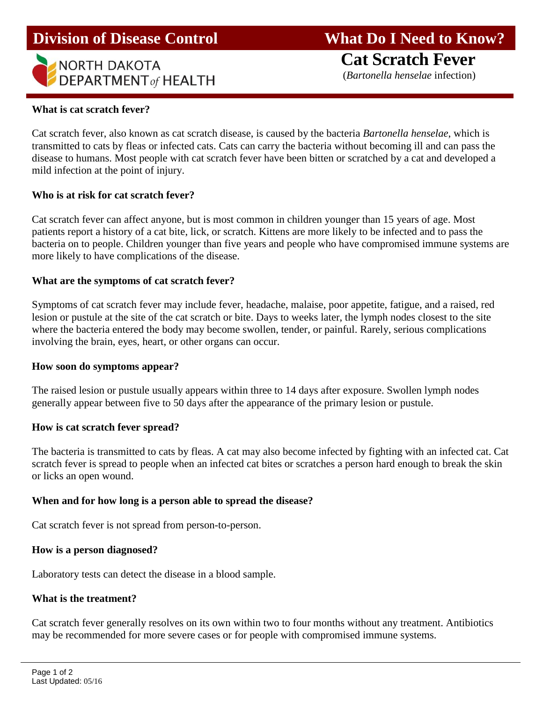# **Division of Disease Control What Do I Need to Know?**



 **Cat Scratch Fever** (*Bartonella henselae* infection)

## **What is cat scratch fever?**

Cat scratch fever, also known as cat scratch disease, is caused by the bacteria *Bartonella henselae*, which is transmitted to cats by fleas or infected cats. Cats can carry the bacteria without becoming ill and can pass the disease to humans. Most people with cat scratch fever have been bitten or scratched by a cat and developed a mild infection at the point of injury.

### **Who is at risk for cat scratch fever?**

Cat scratch fever can affect anyone, but is most common in children younger than 15 years of age. Most patients report a history of a cat bite, lick, or scratch. Kittens are more likely to be infected and to pass the bacteria on to people. Children younger than five years and people who have compromised immune systems are more likely to have complications of the disease.

### **What are the symptoms of cat scratch fever?**

Symptoms of cat scratch fever may include fever, headache, malaise, poor appetite, fatigue, and a raised, red lesion or pustule at the site of the cat scratch or bite. Days to weeks later, the lymph nodes closest to the site where the bacteria entered the body may become swollen, tender, or painful. Rarely, serious complications involving the brain, eyes, heart, or other organs can occur.

#### **How soon do symptoms appear?**

The raised lesion or pustule usually appears within three to 14 days after exposure. Swollen lymph nodes generally appear between five to 50 days after the appearance of the primary lesion or pustule.

#### **How is cat scratch fever spread?**

The bacteria is transmitted to cats by fleas. A cat may also become infected by fighting with an infected cat. Cat scratch fever is spread to people when an infected cat bites or scratches a person hard enough to break the skin or licks an open wound.

### **When and for how long is a person able to spread the disease?**

Cat scratch fever is not spread from person-to-person.

#### **How is a person diagnosed?**

Laboratory tests can detect the disease in a blood sample.

#### **What is the treatment?**

Cat scratch fever generally resolves on its own within two to four months without any treatment. Antibiotics may be recommended for more severe cases or for people with compromised immune systems.